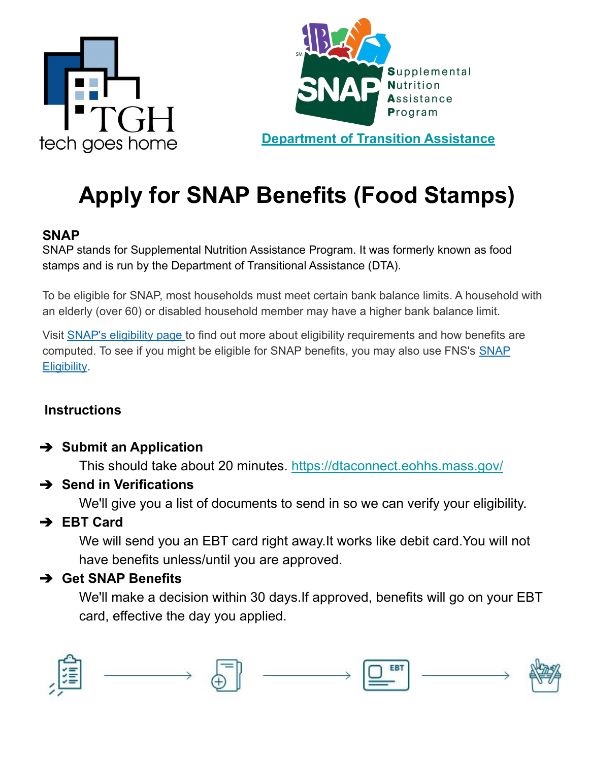



**[Department of Transition Assistance](https://www.mass.gov/orgs/department-of-transitional-assistance)**

# **Apply for SNAP Benefits (Food Stamps)**

#### **SNAP**

SNAP stands for Supplemental Nutrition Assistance Program. It was formerly known as food stamps and is run by the Department of Transitional Assistance (DTA).

To be eligible for SNAP, most households must meet certain bank balance limits. A household with an elderly (over 60) or disabled household member may have a higher bank balance limit.

Visit [SNAP's eligibility page](http://www.fns.usda.gov/snap/eligibility) to find out more about eligibility requirements and how benefits are computed. To see if you might be eligible for SNAP benefits, you may also use FNS's [SNAP](http://www.fns.usda.gov/snap/recipient/eligibility) [Eligibility.](http://www.fns.usda.gov/snap/recipient/eligibility)

#### **Instructions**

#### ➔ **Submit an Application**

This should take about 20 minutes.<https://dtaconnect.eohhs.mass.gov/>

#### ➔ **Send in Verifications**

We'll give you a list of documents to send in so we can verify your eligibility.

## ➔ **EBT Card**

We will send you an EBT card right away.It works like debit card.You will not have benefits unless/until you are approved.

#### ➔ **Get SNAP Benefits**

We'll make a decision within 30 days.If approved, benefits will go on your EBT card, effective the day you applied.